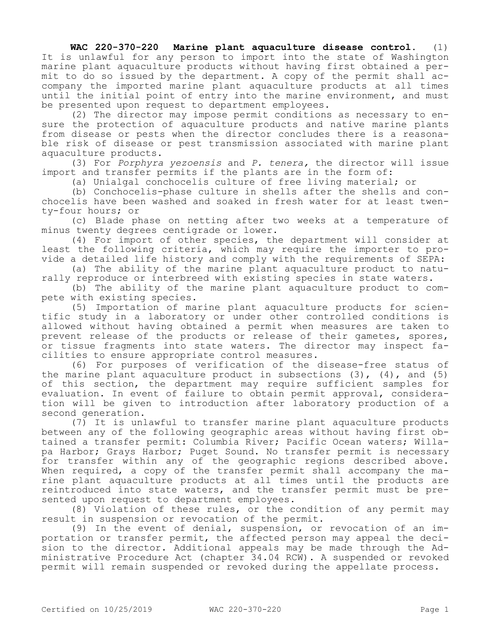## **WAC 220-370-220 Marine plant aquaculture disease control.** (1) It is unlawful for any person to import into the state of Washington marine plant aquaculture products without having first obtained a permit to do so issued by the department. A copy of the permit shall accompany the imported marine plant aquaculture products at all times until the initial point of entry into the marine environment, and must be presented upon request to department employees.

(2) The director may impose permit conditions as necessary to ensure the protection of aquaculture products and native marine plants from disease or pests when the director concludes there is a reasonable risk of disease or pest transmission associated with marine plant aquaculture products.

(3) For *Porphyra yezoensis* and *P. tenera,* the director will issue import and transfer permits if the plants are in the form of:

(a) Unialgal conchocelis culture of free living material; or

(b) Conchocelis-phase culture in shells after the shells and conchocelis have been washed and soaked in fresh water for at least twenty-four hours; or

(c) Blade phase on netting after two weeks at a temperature of minus twenty degrees centigrade or lower.

(4) For import of other species, the department will consider at least the following criteria, which may require the importer to provide a detailed life history and comply with the requirements of SEPA:

(a) The ability of the marine plant aquaculture product to naturally reproduce or interbreed with existing species in state waters.

(b) The ability of the marine plant aquaculture product to compete with existing species.

(5) Importation of marine plant aquaculture products for scientific study in a laboratory or under other controlled conditions is allowed without having obtained a permit when measures are taken to prevent release of the products or release of their gametes, spores, or tissue fragments into state waters. The director may inspect facilities to ensure appropriate control measures.

(6) For purposes of verification of the disease-free status of the marine plant aquaculture product in subsections  $(3)$ ,  $(4)$ , and  $(5)$ of this section, the department may require sufficient samples for evaluation. In event of failure to obtain permit approval, consideration will be given to introduction after laboratory production of a second generation.

(7) It is unlawful to transfer marine plant aquaculture products between any of the following geographic areas without having first obtained a transfer permit: Columbia River; Pacific Ocean waters; Willapa Harbor; Grays Harbor; Puget Sound. No transfer permit is necessary for transfer within any of the geographic regions described above. When required, a copy of the transfer permit shall accompany the marine plant aquaculture products at all times until the products are reintroduced into state waters, and the transfer permit must be presented upon request to department employees.

(8) Violation of these rules, or the condition of any permit may result in suspension or revocation of the permit.

(9) In the event of denial, suspension, or revocation of an importation or transfer permit, the affected person may appeal the decision to the director. Additional appeals may be made through the Administrative Procedure Act (chapter 34.04 RCW). A suspended or revoked permit will remain suspended or revoked during the appellate process.